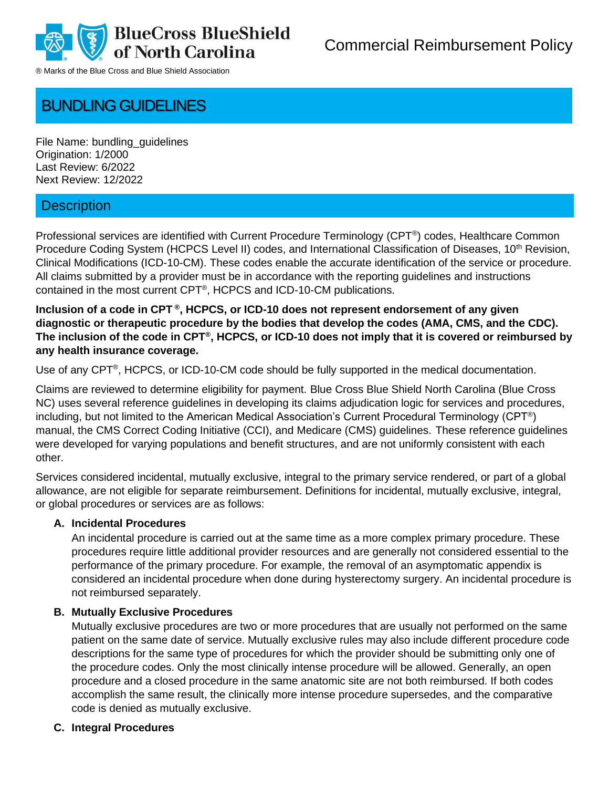

# BUNDLING GUIDELINES

File Name: bundling\_guidelines Origination: 1/2000 Last Review: 6/2022 Next Review: 12/2022

# **Description**

Professional services are identified with Current Procedure Terminology (CPT® ) codes, Healthcare Common Procedure Coding System (HCPCS Level II) codes, and International Classification of Diseases, 10<sup>th</sup> Revision, Clinical Modifications (ICD-10-CM). These codes enable the accurate identification of the service or procedure. All claims submitted by a provider must be in accordance with the reporting guidelines and instructions contained in the most current CPT® , HCPCS and ICD-10-CM publications.

**Inclusion of a code in CPT ® , HCPCS, or ICD-10 does not represent endorsement of any given diagnostic or therapeutic procedure by the bodies that develop the codes (AMA, CMS, and the CDC). The inclusion of the code in CPT® , HCPCS, or ICD-10 does not imply that it is covered or reimbursed by any health insurance coverage.**

Use of any CPT®, HCPCS, or ICD-10-CM code should be fully supported in the medical documentation.

Claims are reviewed to determine eligibility for payment. Blue Cross Blue Shield North Carolina (Blue Cross NC) uses several reference guidelines in developing its claims adjudication logic for services and procedures, including, but not limited to the American Medical Association's Current Procedural Terminology (CPT®) manual, the CMS Correct Coding Initiative (CCI), and Medicare (CMS) guidelines. These reference guidelines were developed for varying populations and benefit structures, and are not uniformly consistent with each other.

Services considered incidental, mutually exclusive, integral to the primary service rendered, or part of a global allowance, are not eligible for separate reimbursement. Definitions for incidental, mutually exclusive, integral, or global procedures or services are as follows:

#### **A. Incidental Procedures**

An incidental procedure is carried out at the same time as a more complex primary procedure. These procedures require little additional provider resources and are generally not considered essential to the performance of the primary procedure. For example, the removal of an asymptomatic appendix is considered an incidental procedure when done during hysterectomy surgery. An incidental procedure is not reimbursed separately.

#### **B. Mutually Exclusive Procedures**

Mutually exclusive procedures are two or more procedures that are usually not performed on the same patient on the same date of service. Mutually exclusive rules may also include different procedure code descriptions for the same type of procedures for which the provider should be submitting only one of the procedure codes. Only the most clinically intense procedure will be allowed. Generally, an open procedure and a closed procedure in the same anatomic site are not both reimbursed. If both codes accomplish the same result, the clinically more intense procedure supersedes, and the comparative code is denied as mutually exclusive.

#### **C. Integral Procedures**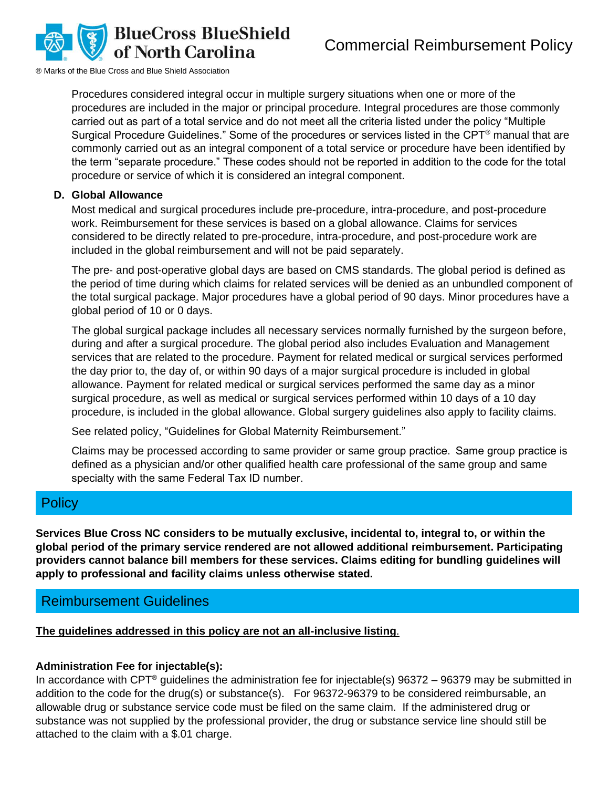

Procedures considered integral occur in multiple surgery situations when one or more of the procedures are included in the major or principal procedure. Integral procedures are those commonly carried out as part of a total service and do not meet all the criteria listed under the policy "Multiple Surgical Procedure Guidelines." Some of the procedures or services listed in the CPT® manual that are commonly carried out as an integral component of a total service or procedure have been identified by the term "separate procedure." These codes should not be reported in addition to the code for the total procedure or service of which it is considered an integral component.

#### **D. Global Allowance**

Most medical and surgical procedures include pre-procedure, intra-procedure, and post-procedure work. Reimbursement for these services is based on a global allowance. Claims for services considered to be directly related to pre-procedure, intra-procedure, and post-procedure work are included in the global reimbursement and will not be paid separately.

The pre- and post-operative global days are based on CMS standards. The global period is defined as the period of time during which claims for related services will be denied as an unbundled component of the total surgical package. Major procedures have a global period of 90 days. Minor procedures have a global period of 10 or 0 days.

The global surgical package includes all necessary services normally furnished by the surgeon before, during and after a surgical procedure. The global period also includes Evaluation and Management services that are related to the procedure. Payment for related medical or surgical services performed the day prior to, the day of, or within 90 days of a major surgical procedure is included in global allowance. Payment for related medical or surgical services performed the same day as a minor surgical procedure, as well as medical or surgical services performed within 10 days of a 10 day procedure, is included in the global allowance. Global surgery guidelines also apply to facility claims.

See related policy, "Guidelines for Global Maternity Reimbursement."

Claims may be processed according to same provider or same group practice.  Same group practice is defined as a physician and/or other qualified health care professional of the same group and same specialty with the same Federal Tax ID number. 

# **Policy**

**Services Blue Cross NC considers to be mutually exclusive, incidental to, integral to, or within the global period of the primary service rendered are not allowed additional reimbursement. Participating providers cannot balance bill members for these services. Claims editing for bundling guidelines will apply to professional and facility claims unless otherwise stated.**

## Reimbursement Guidelines

## **The guidelines addressed in this policy are not an all-inclusive listing**.

## **Administration Fee for injectable(s):**

In accordance with CPT<sup>®</sup> guidelines the administration fee for injectable(s) 96372 – 96379 may be submitted in addition to the code for the drug(s) or substance(s). For 96372-96379 to be considered reimbursable, an allowable drug or substance service code must be filed on the same claim. If the administered drug or substance was not supplied by the professional provider, the drug or substance service line should still be attached to the claim with a \$.01 charge.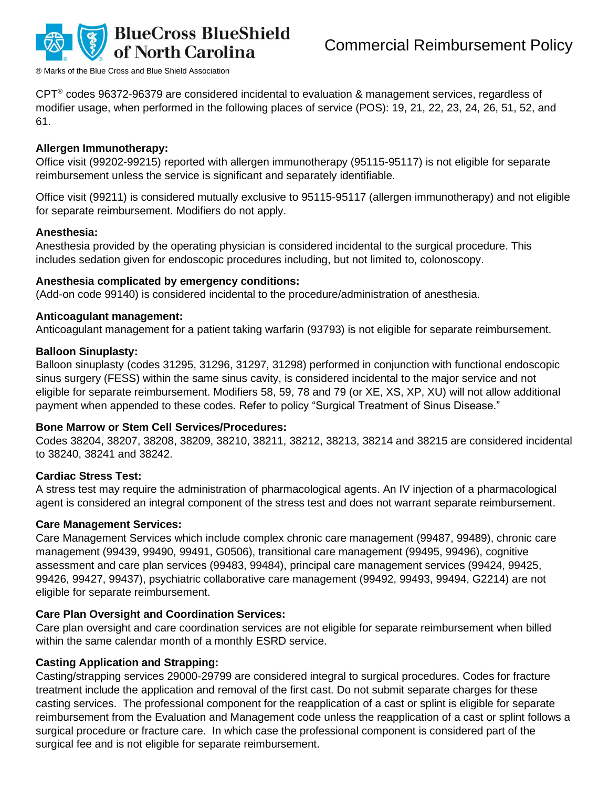

CPT® codes 96372-96379 are considered incidental to evaluation & management services, regardless of modifier usage, when performed in the following places of service (POS): 19, 21, 22, 23, 24, 26, 51, 52, and 61.

#### **Allergen Immunotherapy:**

Office visit (99202-99215) reported with allergen immunotherapy (95115-95117) is not eligible for separate reimbursement unless the service is significant and separately identifiable.

Office visit (99211) is considered mutually exclusive to 95115-95117 (allergen immunotherapy) and not eligible for separate reimbursement. Modifiers do not apply.

#### **Anesthesia:**

Anesthesia provided by the operating physician is considered incidental to the surgical procedure. This includes sedation given for endoscopic procedures including, but not limited to, colonoscopy.

#### **Anesthesia complicated by emergency conditions:**

(Add-on code 99140) is considered incidental to the procedure/administration of anesthesia.

#### **Anticoagulant management:**

Anticoagulant management for a patient taking warfarin (93793) is not eligible for separate reimbursement.

#### **Balloon Sinuplasty:**

Balloon sinuplasty (codes 31295, 31296, 31297, 31298) performed in conjunction with functional endoscopic sinus surgery (FESS) within the same sinus cavity, is considered incidental to the major service and not eligible for separate reimbursement. Modifiers 58, 59, 78 and 79 (or XE, XS, XP, XU) will not allow additional payment when appended to these codes. Refer to policy "Surgical Treatment of Sinus Disease."

#### **Bone Marrow or Stem Cell Services/Procedures:**

Codes 38204, 38207, 38208, 38209, 38210, 38211, 38212, 38213, 38214 and 38215 are considered incidental to 38240, 38241 and 38242.

#### **Cardiac Stress Test:**

A stress test may require the administration of pharmacological agents. An IV injection of a pharmacological agent is considered an integral component of the stress test and does not warrant separate reimbursement.

#### **Care Management Services:**

Care Management Services which include complex chronic care management (99487, 99489), chronic care management (99439, 99490, 99491, G0506), transitional care management (99495, 99496), cognitive assessment and care plan services (99483, 99484), principal care management services (99424, 99425, 99426, 99427, 99437), psychiatric collaborative care management (99492, 99493, 99494, G2214) are not eligible for separate reimbursement.

#### **Care Plan Oversight and Coordination Services:**

Care plan oversight and care coordination services are not eligible for separate reimbursement when billed within the same calendar month of a monthly ESRD service.

#### **Casting Application and Strapping:**

Casting/strapping services 29000-29799 are considered integral to surgical procedures. Codes for fracture treatment include the application and removal of the first cast. Do not submit separate charges for these casting services. The professional component for the reapplication of a cast or splint is eligible for separate reimbursement from the Evaluation and Management code unless the reapplication of a cast or splint follows a surgical procedure or fracture care. In which case the professional component is considered part of the surgical fee and is not eligible for separate reimbursement.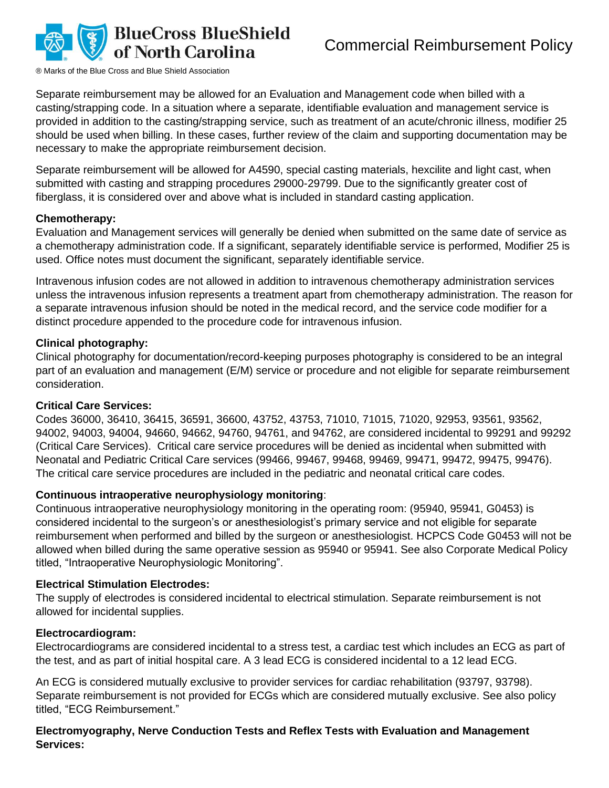

Separate reimbursement may be allowed for an Evaluation and Management code when billed with a casting/strapping code. In a situation where a separate, identifiable evaluation and management service is provided in addition to the casting/strapping service, such as treatment of an acute/chronic illness, modifier 25 should be used when billing. In these cases, further review of the claim and supporting documentation may be necessary to make the appropriate reimbursement decision.

Separate reimbursement will be allowed for A4590, special casting materials, hexcilite and light cast, when submitted with casting and strapping procedures 29000-29799. Due to the significantly greater cost of fiberglass, it is considered over and above what is included in standard casting application.

#### **Chemotherapy:**

Evaluation and Management services will generally be denied when submitted on the same date of service as a chemotherapy administration code. If a significant, separately identifiable service is performed, Modifier 25 is used. Office notes must document the significant, separately identifiable service.

Intravenous infusion codes are not allowed in addition to intravenous chemotherapy administration services unless the intravenous infusion represents a treatment apart from chemotherapy administration. The reason for a separate intravenous infusion should be noted in the medical record, and the service code modifier for a distinct procedure appended to the procedure code for intravenous infusion.

#### **Clinical photography:**

Clinical photography for documentation/record-keeping purposes photography is considered to be an integral part of an evaluation and management (E/M) service or procedure and not eligible for separate reimbursement consideration.

#### **Critical Care Services:**

Codes 36000, 36410, 36415, 36591, 36600, 43752, 43753, 71010, 71015, 71020, 92953, 93561, 93562, 94002, 94003, 94004, 94660, 94662, 94760, 94761, and 94762, are considered incidental to 99291 and 99292 (Critical Care Services). Critical care service procedures will be denied as incidental when submitted with Neonatal and Pediatric Critical Care services (99466, 99467, 99468, 99469, 99471, 99472, 99475, 99476). The critical care service procedures are included in the pediatric and neonatal critical care codes.

#### **Continuous intraoperative neurophysiology monitoring**:

Continuous intraoperative neurophysiology monitoring in the operating room: (95940, 95941, G0453) is considered incidental to the surgeon's or anesthesiologist's primary service and not eligible for separate reimbursement when performed and billed by the surgeon or anesthesiologist. HCPCS Code G0453 will not be allowed when billed during the same operative session as 95940 or 95941. See also Corporate Medical Policy titled, "Intraoperative Neurophysiologic Monitoring".

#### **Electrical Stimulation Electrodes:**

The supply of electrodes is considered incidental to electrical stimulation. Separate reimbursement is not allowed for incidental supplies.

#### **Electrocardiogram:**

Electrocardiograms are considered incidental to a stress test, a cardiac test which includes an ECG as part of the test, and as part of initial hospital care. A 3 lead ECG is considered incidental to a 12 lead ECG.

An ECG is considered mutually exclusive to provider services for cardiac rehabilitation (93797, 93798). Separate reimbursement is not provided for ECGs which are considered mutually exclusive. See also policy titled, "ECG Reimbursement."

#### **Electromyography, Nerve Conduction Tests and Reflex Tests with Evaluation and Management Services:**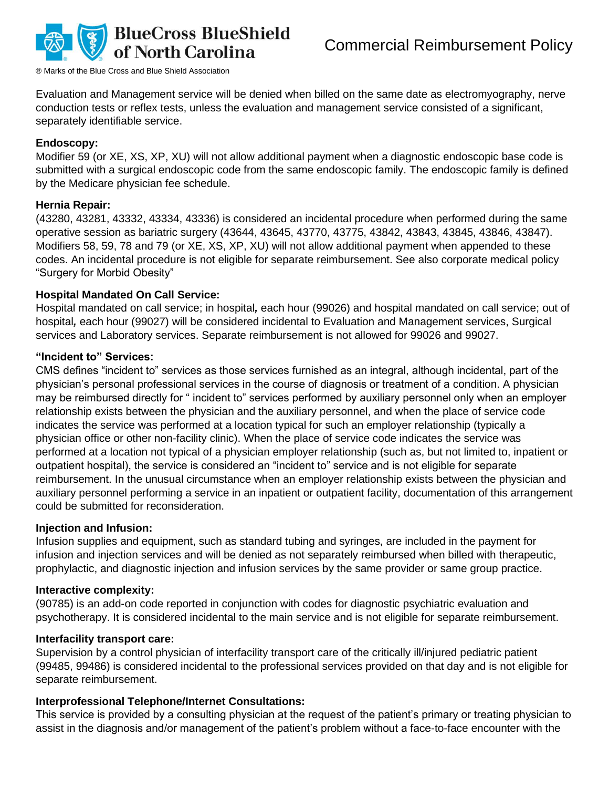

Evaluation and Management service will be denied when billed on the same date as electromyography, nerve conduction tests or reflex tests, unless the evaluation and management service consisted of a significant, separately identifiable service.

#### **Endoscopy:**

Modifier 59 (or XE, XS, XP, XU) will not allow additional payment when a diagnostic endoscopic base code is submitted with a surgical endoscopic code from the same endoscopic family. The endoscopic family is defined by the Medicare physician fee schedule.

#### **Hernia Repair:**

(43280, 43281, 43332, 43334, 43336) is considered an incidental procedure when performed during the same operative session as bariatric surgery (43644, 43645, 43770, 43775, 43842, 43843, 43845, 43846, 43847). Modifiers 58, 59, 78 and 79 (or XE, XS, XP, XU) will not allow additional payment when appended to these codes. An incidental procedure is not eligible for separate reimbursement. See also corporate medical policy "Surgery for Morbid Obesity"

#### **Hospital Mandated On Call Service:**

Hospital mandated on call service; in hospital*,* each hour (99026) and hospital mandated on call service; out of hospital*,* each hour (99027) will be considered incidental to Evaluation and Management services, Surgical services and Laboratory services. Separate reimbursement is not allowed for 99026 and 99027.

#### **"Incident to" Services:**

CMS defines "incident to" services as those services furnished as an integral, although incidental, part of the physician's personal professional services in the course of diagnosis or treatment of a condition. A physician may be reimbursed directly for " incident to" services performed by auxiliary personnel only when an employer relationship exists between the physician and the auxiliary personnel, and when the place of service code indicates the service was performed at a location typical for such an employer relationship (typically a physician office or other non-facility clinic). When the place of service code indicates the service was performed at a location not typical of a physician employer relationship (such as, but not limited to, inpatient or outpatient hospital), the service is considered an "incident to" service and is not eligible for separate reimbursement. In the unusual circumstance when an employer relationship exists between the physician and auxiliary personnel performing a service in an inpatient or outpatient facility, documentation of this arrangement could be submitted for reconsideration.

#### **Injection and Infusion:**

Infusion supplies and equipment, such as standard tubing and syringes, are included in the payment for infusion and injection services and will be denied as not separately reimbursed when billed with therapeutic, prophylactic, and diagnostic injection and infusion services by the same provider or same group practice.

#### **Interactive complexity:**

(90785) is an add-on code reported in conjunction with codes for diagnostic psychiatric evaluation and psychotherapy. It is considered incidental to the main service and is not eligible for separate reimbursement.

#### **Interfacility transport care:**

Supervision by a control physician of interfacility transport care of the critically ill/injured pediatric patient (99485, 99486) is considered incidental to the professional services provided on that day and is not eligible for separate reimbursement.

#### **Interprofessional Telephone/Internet Consultations:**

This service is provided by a consulting physician at the request of the patient's primary or treating physician to assist in the diagnosis and/or management of the patient's problem without a face-to-face encounter with the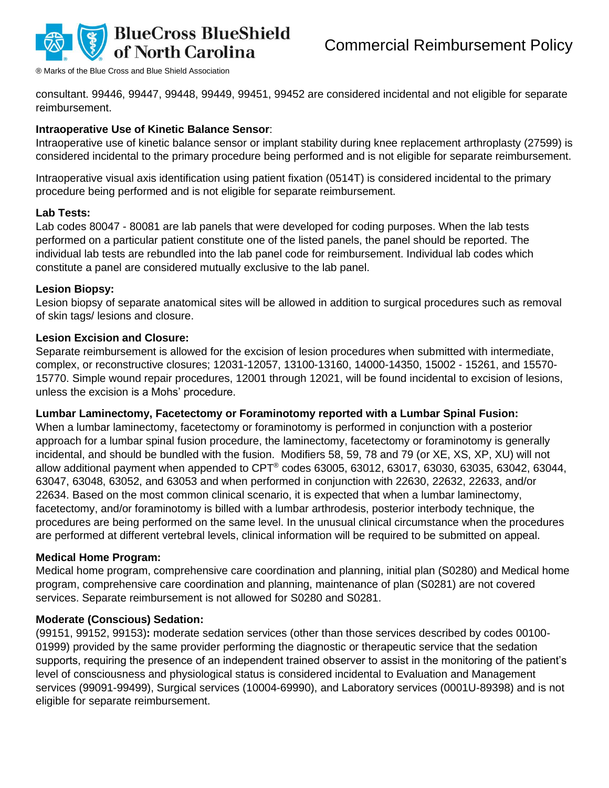

consultant. 99446, 99447, 99448, 99449, 99451, 99452 are considered incidental and not eligible for separate reimbursement.

#### **Intraoperative Use of Kinetic Balance Sensor**:

Intraoperative use of kinetic balance sensor or implant stability during knee replacement arthroplasty (27599) is considered incidental to the primary procedure being performed and is not eligible for separate reimbursement.

Intraoperative visual axis identification using patient fixation (0514T) is considered incidental to the primary procedure being performed and is not eligible for separate reimbursement.

#### **Lab Tests:**

Lab codes 80047 - 80081 are lab panels that were developed for coding purposes. When the lab tests performed on a particular patient constitute one of the listed panels, the panel should be reported. The individual lab tests are rebundled into the lab panel code for reimbursement. Individual lab codes which constitute a panel are considered mutually exclusive to the lab panel.

#### **Lesion Biopsy:**

Lesion biopsy of separate anatomical sites will be allowed in addition to surgical procedures such as removal of skin tags/ lesions and closure.

#### **Lesion Excision and Closure:**

Separate reimbursement is allowed for the excision of lesion procedures when submitted with intermediate, complex, or reconstructive closures; 12031-12057, 13100-13160, 14000-14350, 15002 - 15261, and 15570- 15770. Simple wound repair procedures, 12001 through 12021, will be found incidental to excision of lesions, unless the excision is a Mohs' procedure.

#### **Lumbar Laminectomy, Facetectomy or Foraminotomy reported with a Lumbar Spinal Fusion:**

When a lumbar laminectomy, facetectomy or foraminotomy is performed in conjunction with a posterior approach for a lumbar spinal fusion procedure, the laminectomy, facetectomy or foraminotomy is generally incidental, and should be bundled with the fusion. Modifiers 58, 59, 78 and 79 (or XE, XS, XP, XU) will not allow additional payment when appended to CPT® codes 63005, 63012, 63017, 63030, 63035, 63042, 63044, 63047, 63048, 63052, and 63053 and when performed in conjunction with 22630, 22632, 22633, and/or 22634. Based on the most common clinical scenario, it is expected that when a lumbar laminectomy, facetectomy, and/or foraminotomy is billed with a lumbar arthrodesis, posterior interbody technique, the procedures are being performed on the same level. In the unusual clinical circumstance when the procedures are performed at different vertebral levels, clinical information will be required to be submitted on appeal.

#### **Medical Home Program:**

Medical home program, comprehensive care coordination and planning, initial plan (S0280) and Medical home program, comprehensive care coordination and planning, maintenance of plan (S0281) are not covered services. Separate reimbursement is not allowed for S0280 and S0281.

#### **Moderate (Conscious) Sedation:**

(99151, 99152, 99153)**:** moderate sedation services (other than those services described by codes 00100- 01999) provided by the same provider performing the diagnostic or therapeutic service that the sedation supports, requiring the presence of an independent trained observer to assist in the monitoring of the patient's level of consciousness and physiological status is considered incidental to Evaluation and Management services (99091-99499), Surgical services (10004-69990), and Laboratory services (0001U-89398) and is not eligible for separate reimbursement.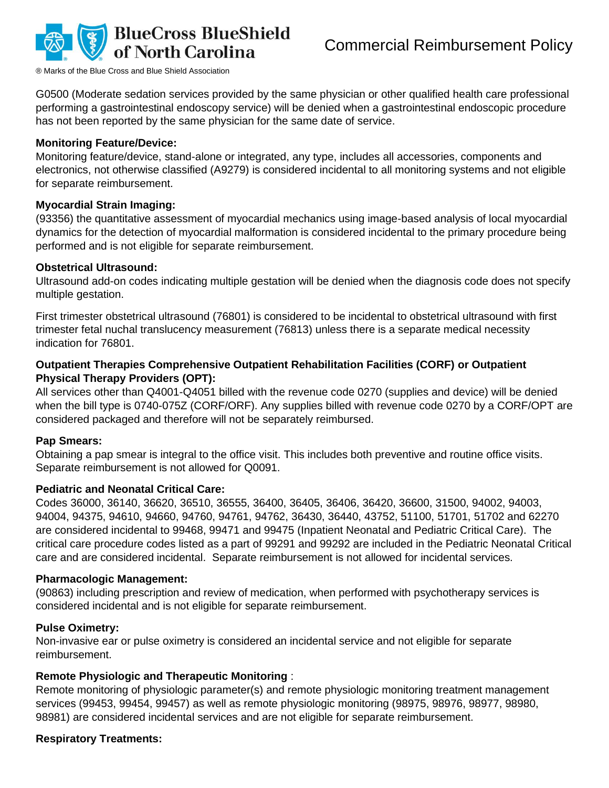

G0500 (Moderate sedation services provided by the same physician or other qualified health care professional performing a gastrointestinal endoscopy service) will be denied when a gastrointestinal endoscopic procedure has not been reported by the same physician for the same date of service.

#### **Monitoring Feature/Device:**

Monitoring feature/device, stand-alone or integrated, any type, includes all accessories, components and electronics, not otherwise classified (A9279) is considered incidental to all monitoring systems and not eligible for separate reimbursement.

#### **Myocardial Strain Imaging:**

(93356) the quantitative assessment of myocardial mechanics using image-based analysis of local myocardial dynamics for the detection of myocardial malformation is considered incidental to the primary procedure being performed and is not eligible for separate reimbursement.

#### **Obstetrical Ultrasound:**

Ultrasound add-on codes indicating multiple gestation will be denied when the diagnosis code does not specify multiple gestation.

First trimester obstetrical ultrasound (76801) is considered to be incidental to obstetrical ultrasound with first trimester fetal nuchal translucency measurement (76813) unless there is a separate medical necessity indication for 76801.

#### **Outpatient Therapies Comprehensive Outpatient Rehabilitation Facilities (CORF) or Outpatient Physical Therapy Providers (OPT):**

All services other than Q4001-Q4051 billed with the revenue code 0270 (supplies and device) will be denied when the bill type is 0740-075Z (CORF/ORF). Any supplies billed with revenue code 0270 by a CORF/OPT are considered packaged and therefore will not be separately reimbursed.

#### **Pap Smears:**

Obtaining a pap smear is integral to the office visit. This includes both preventive and routine office visits. Separate reimbursement is not allowed for Q0091.

#### **Pediatric and Neonatal Critical Care:**

Codes 36000, 36140, 36620, 36510, 36555, 36400, 36405, 36406, 36420, 36600, 31500, 94002, 94003, 94004, 94375, 94610, 94660, 94760, 94761, 94762, 36430, 36440, 43752, 51100, 51701, 51702 and 62270 are considered incidental to 99468, 99471 and 99475 (Inpatient Neonatal and Pediatric Critical Care). The critical care procedure codes listed as a part of 99291 and 99292 are included in the Pediatric Neonatal Critical care and are considered incidental. Separate reimbursement is not allowed for incidental services.

#### **Pharmacologic Management:**

(90863) including prescription and review of medication, when performed with psychotherapy services is considered incidental and is not eligible for separate reimbursement.

#### **Pulse Oximetry:**

Non-invasive ear or pulse oximetry is considered an incidental service and not eligible for separate reimbursement.

#### **Remote Physiologic and Therapeutic Monitoring** :

Remote monitoring of physiologic parameter(s) and remote physiologic monitoring treatment management services (99453, 99454, 99457) as well as remote physiologic monitoring (98975, 98976, 98977, 98980, 98981) are considered incidental services and are not eligible for separate reimbursement.

#### **Respiratory Treatments:**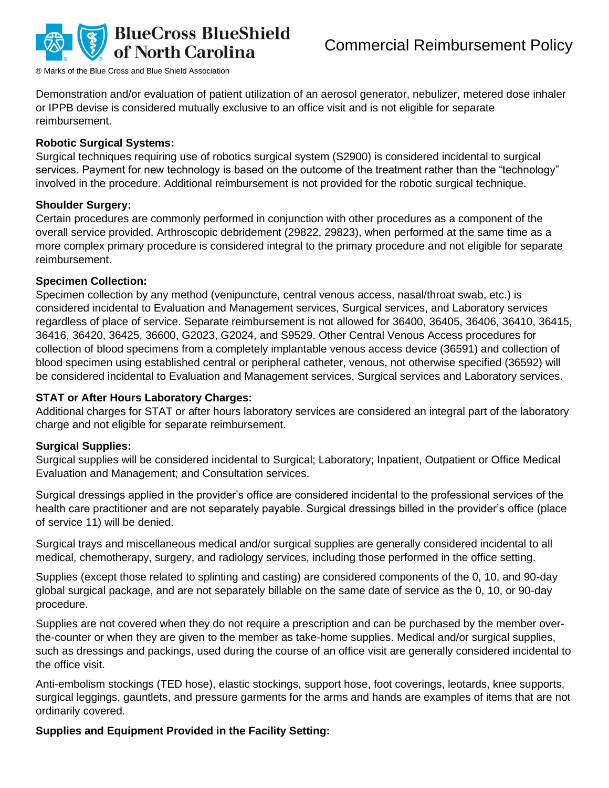

Demonstration and/or evaluation of patient utilization of an aerosol generator, nebulizer, metered dose inhaler or IPPB devise is considered mutually exclusive to an office visit and is not eligible for separate reimbursement.

#### **Robotic Surgical Systems:**

Surgical techniques requiring use of robotics surgical system (S2900) is considered incidental to surgical services. Payment for new technology is based on the outcome of the treatment rather than the "technology" involved in the procedure. Additional reimbursement is not provided for the robotic surgical technique.

#### **Shoulder Surgery:**

Certain procedures are commonly performed in conjunction with other procedures as a component of the overall service provided. Arthroscopic debridement (29822, 29823), when performed at the same time as a more complex primary procedure is considered integral to the primary procedure and not eligible for separate reimbursement.

#### **Specimen Collection:**

Specimen collection by any method (venipuncture, central venous access, nasal/throat swab, etc.) is considered incidental to Evaluation and Management services, Surgical services, and Laboratory services regardless of place of service. Separate reimbursement is not allowed for 36400, 36405, 36406, 36410, 36415, 36416, 36420, 36425, 36600, G2023, G2024, and S9529. Other Central Venous Access procedures for collection of blood specimens from a completely implantable venous access device (36591) and collection of blood specimen using established central or peripheral catheter, venous, not otherwise specified (36592) will be considered incidental to Evaluation and Management services, Surgical services and Laboratory services.

#### **STAT or After Hours Laboratory Charges:**

Additional charges for STAT or after hours laboratory services are considered an integral part of the laboratory charge and not eligible for separate reimbursement.

#### **Surgical Supplies:**

Surgical supplies will be considered incidental to Surgical; Laboratory; Inpatient, Outpatient or Office Medical Evaluation and Management; and Consultation services.

Surgical dressings applied in the provider's office are considered incidental to the professional services of the health care practitioner and are not separately payable. Surgical dressings billed in the provider's office (place of service 11) will be denied.

Surgical trays and miscellaneous medical and/or surgical supplies are generally considered incidental to all medical, chemotherapy, surgery, and radiology services, including those performed in the office setting.

Supplies (except those related to splinting and casting) are considered components of the 0, 10, and 90-day global surgical package, and are not separately billable on the same date of service as the 0, 10, or 90-day procedure.

Supplies are not covered when they do not require a prescription and can be purchased by the member overthe-counter or when they are given to the member as take-home supplies. Medical and/or surgical supplies, such as dressings and packings, used during the course of an office visit are generally considered incidental to the office visit.

Anti-embolism stockings (TED hose), elastic stockings, support hose, foot coverings, leotards, knee supports, surgical leggings, gauntlets, and pressure garments for the arms and hands are examples of items that are not ordinarily covered.

#### **Supplies and Equipment Provided in the Facility Setting:**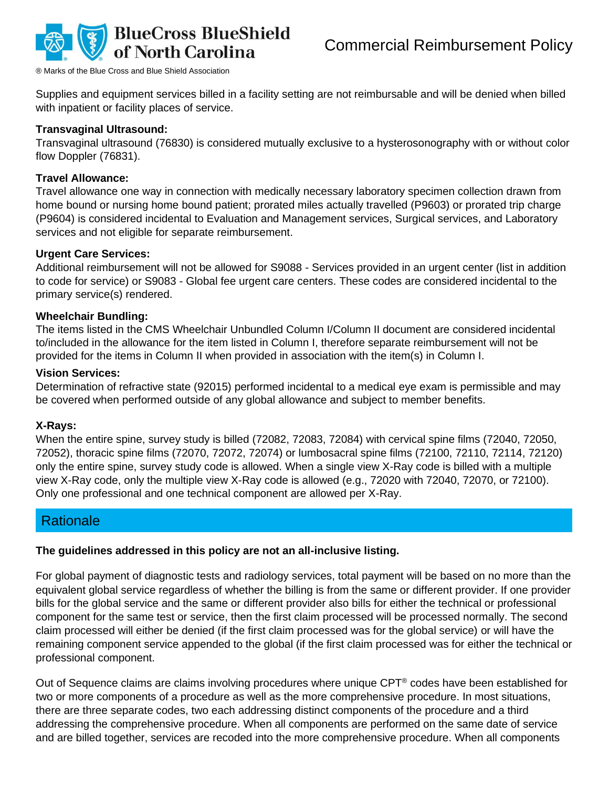

Supplies and equipment services billed in a facility setting are not reimbursable and will be denied when billed with inpatient or facility places of service.

#### **Transvaginal Ultrasound:**

Transvaginal ultrasound (76830) is considered mutually exclusive to a hysterosonography with or without color flow Doppler (76831).

#### **Travel Allowance:**

Travel allowance one way in connection with medically necessary laboratory specimen collection drawn from home bound or nursing home bound patient; prorated miles actually travelled (P9603) or prorated trip charge (P9604) is considered incidental to Evaluation and Management services, Surgical services, and Laboratory services and not eligible for separate reimbursement.

#### **Urgent Care Services:**

Additional reimbursement will not be allowed for S9088 - Services provided in an urgent center (list in addition to code for service) or S9083 - Global fee urgent care centers. These codes are considered incidental to the primary service(s) rendered.

#### **Wheelchair Bundling:**

The items listed in the CMS Wheelchair Unbundled Column I/Column II document are considered incidental to/included in the allowance for the item listed in Column I, therefore separate reimbursement will not be provided for the items in Column II when provided in association with the item(s) in Column I.

#### **Vision Services:**

Determination of refractive state (92015) performed incidental to a medical eye exam is permissible and may be covered when performed outside of any global allowance and subject to member benefits.

#### **X-Rays:**

When the entire spine, survey study is billed (72082, 72083, 72084) with cervical spine films (72040, 72050, 72052), thoracic spine films (72070, 72072, 72074) or lumbosacral spine films (72100, 72110, 72114, 72120) only the entire spine, survey study code is allowed. When a single view X-Ray code is billed with a multiple view X-Ray code, only the multiple view X-Ray code is allowed (e.g., 72020 with 72040, 72070, or 72100). Only one professional and one technical component are allowed per X-Ray.

# **Rationale**

#### **The guidelines addressed in this policy are not an all-inclusive listing.**

For global payment of diagnostic tests and radiology services, total payment will be based on no more than the equivalent global service regardless of whether the billing is from the same or different provider. If one provider bills for the global service and the same or different provider also bills for either the technical or professional component for the same test or service, then the first claim processed will be processed normally. The second claim processed will either be denied (if the first claim processed was for the global service) or will have the remaining component service appended to the global (if the first claim processed was for either the technical or professional component.

Out of Sequence claims are claims involving procedures where unique CPT® codes have been established for two or more components of a procedure as well as the more comprehensive procedure. In most situations, there are three separate codes, two each addressing distinct components of the procedure and a third addressing the comprehensive procedure. When all components are performed on the same date of service and are billed together, services are recoded into the more comprehensive procedure. When all components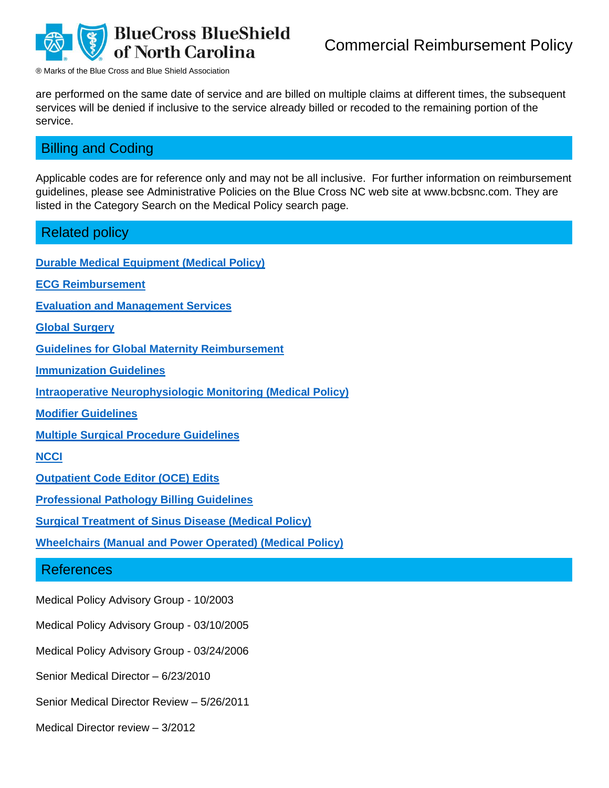

are performed on the same date of service and are billed on multiple claims at different times, the subsequent services will be denied if inclusive to the service already billed or recoded to the remaining portion of the service.

# Billing and Coding

Applicable codes are for reference only and may not be all inclusive. For further information on reimbursement guidelines, please see Administrative Policies on the Blue Cross NC web site at www.bcbsnc.com. They are listed in the Category Search on the Medical Policy search page.

### Related policy

**[Durable Medical Equipment \(](https://www.bluecrossnc.com/document/durable-medical-equipment-dme)Medical Policy)**

**[ECG Reimbursement](https://www.bluecrossnc.com/document/ecg-reimbursement)**

**[Evaluation and Management Services](https://www.bluecrossnc.com/document/evaluation-and-management-services)**

**[Global Surgery](https://www.bluecrossnc.com/sites/default/files/document/attachment/services/public/pdfs/medicalpolicy/global_surgery.pdf)**

**[Guidelines for Global Maternity Reimbursement](https://www.bluecrossnc.com/document/guidelines-global-maternity-reimbursement)**

**[Immunization Guidelines](https://www.bluecrossnc.com/document/immunization-guidelines)**

**[Intraoperative Neurophysiologic Monitoring](https://www.bluecrossnc.com/document/intraoperative-neurophysiologic-monitoring-sensory-evoked-potentials-motor-evoked) (Medical Policy)**

**[Modifier Guidelines](https://www.bluecrossnc.com/document/modifier-guidelines)**

**[Multiple Surgical Procedure Guidelines](https://www.bluecrossnc.com/document/multiple-surgical-procedure-guidelines-professional-providers)**

#### **[NCCI](https://www.bluecrossnc.com/sites/default/files/document/attachment/services/public/pdfs/medicalpolicy/ncci.pdf)**

**[Outpatient Code Editor \(OCE\) Edits](https://www.bluecrossnc.com/document/outpatient-code-editor-oce-edits)**

**[Professional Pathology Billing Guidelines](https://www.bluecrossnc.com/document/professional-pathology-billing-guidelines-ahs-r2169)**

**[Surgical Treatment of Sinus Disease](https://www.bluecrossnc.com/document/surgical-treatment-sinus-disease) (Medical Policy)**

**[Wheelchairs \(Manual and Power Operated\)](https://www.bluecrossnc.com/document/wheelchairs-manual-and-power-operated-0) (Medical Policy)**

#### References

Medical Policy Advisory Group - 10/2003

Medical Policy Advisory Group - 03/10/2005

Medical Policy Advisory Group - 03/24/2006

Senior Medical Director – 6/23/2010

Senior Medical Director Review – 5/26/2011

Medical Director review – 3/2012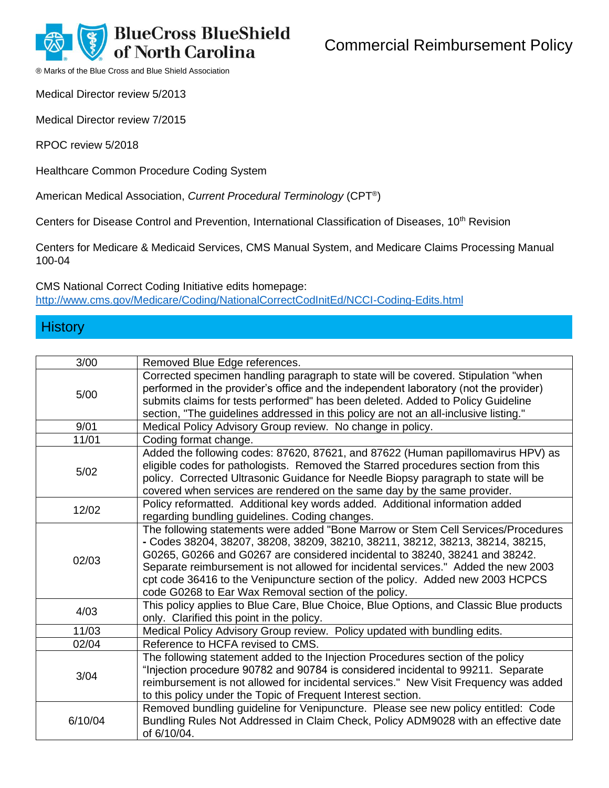**BlueCross BlueShield** Commercial Reimbursement Policy

**North Carolina** ® Marks of the Blue Cross and Blue Shield Association

Medical Director review 5/2013

Medical Director review 7/2015

RPOC review 5/2018

Healthcare Common Procedure Coding System

American Medical Association, *Current Procedural Terminology* (CPT® )

Centers for Disease Control and Prevention, International Classification of Diseases, 10<sup>th</sup> Revision

Centers for Medicare & Medicaid Services, CMS Manual System, and Medicare Claims Processing Manual 100-04

CMS National Correct Coding Initiative edits homepage: <http://www.cms.gov/Medicare/Coding/NationalCorrectCodInitEd/NCCI-Coding-Edits.html>

# **History**

| 3/00    | Removed Blue Edge references.                                                                                                                                                                                                                                                                                                                                                                                                                                                     |
|---------|-----------------------------------------------------------------------------------------------------------------------------------------------------------------------------------------------------------------------------------------------------------------------------------------------------------------------------------------------------------------------------------------------------------------------------------------------------------------------------------|
| 5/00    | Corrected specimen handling paragraph to state will be covered. Stipulation "when<br>performed in the provider's office and the independent laboratory (not the provider)<br>submits claims for tests performed" has been deleted. Added to Policy Guideline<br>section, "The guidelines addressed in this policy are not an all-inclusive listing."                                                                                                                              |
| 9/01    | Medical Policy Advisory Group review. No change in policy.                                                                                                                                                                                                                                                                                                                                                                                                                        |
| 11/01   | Coding format change.                                                                                                                                                                                                                                                                                                                                                                                                                                                             |
| 5/02    | Added the following codes: 87620, 87621, and 87622 (Human papillomavirus HPV) as<br>eligible codes for pathologists. Removed the Starred procedures section from this<br>policy. Corrected Ultrasonic Guidance for Needle Biopsy paragraph to state will be<br>covered when services are rendered on the same day by the same provider.                                                                                                                                           |
| 12/02   | Policy reformatted. Additional key words added. Additional information added<br>regarding bundling guidelines. Coding changes.                                                                                                                                                                                                                                                                                                                                                    |
| 02/03   | The following statements were added "Bone Marrow or Stem Cell Services/Procedures<br>- Codes 38204, 38207, 38208, 38209, 38210, 38211, 38212, 38213, 38214, 38215,<br>G0265, G0266 and G0267 are considered incidental to 38240, 38241 and 38242.<br>Separate reimbursement is not allowed for incidental services." Added the new 2003<br>cpt code 36416 to the Venipuncture section of the policy. Added new 2003 HCPCS<br>code G0268 to Ear Wax Removal section of the policy. |
| 4/03    | This policy applies to Blue Care, Blue Choice, Blue Options, and Classic Blue products<br>only. Clarified this point in the policy.                                                                                                                                                                                                                                                                                                                                               |
| 11/03   | Medical Policy Advisory Group review. Policy updated with bundling edits.                                                                                                                                                                                                                                                                                                                                                                                                         |
| 02/04   | Reference to HCFA revised to CMS.                                                                                                                                                                                                                                                                                                                                                                                                                                                 |
| 3/04    | The following statement added to the Injection Procedures section of the policy<br>"Injection procedure 90782 and 90784 is considered incidental to 99211. Separate<br>reimbursement is not allowed for incidental services." New Visit Frequency was added<br>to this policy under the Topic of Frequent Interest section.                                                                                                                                                       |
| 6/10/04 | Removed bundling guideline for Venipuncture. Please see new policy entitled: Code<br>Bundling Rules Not Addressed in Claim Check, Policy ADM9028 with an effective date<br>of 6/10/04.                                                                                                                                                                                                                                                                                            |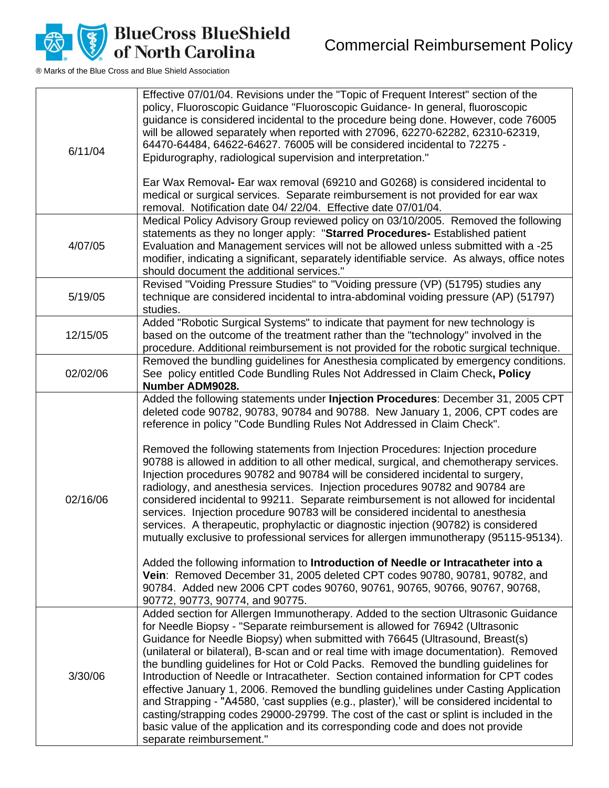

| 6/11/04  | Effective 07/01/04. Revisions under the "Topic of Frequent Interest" section of the<br>policy, Fluoroscopic Guidance "Fluoroscopic Guidance- In general, fluoroscopic<br>guidance is considered incidental to the procedure being done. However, code 76005<br>will be allowed separately when reported with 27096, 62270-62282, 62310-62319,<br>64470-64484, 64622-64627. 76005 will be considered incidental to 72275 -<br>Epidurography, radiological supervision and interpretation."<br>Ear Wax Removal- Ear wax removal (69210 and G0268) is considered incidental to<br>medical or surgical services. Separate reimbursement is not provided for ear wax<br>removal. Notification date 04/22/04. Effective date 07/01/04.                                                                                                                                                                                                                                                                                                                                                                                                                                                                                                            |
|----------|---------------------------------------------------------------------------------------------------------------------------------------------------------------------------------------------------------------------------------------------------------------------------------------------------------------------------------------------------------------------------------------------------------------------------------------------------------------------------------------------------------------------------------------------------------------------------------------------------------------------------------------------------------------------------------------------------------------------------------------------------------------------------------------------------------------------------------------------------------------------------------------------------------------------------------------------------------------------------------------------------------------------------------------------------------------------------------------------------------------------------------------------------------------------------------------------------------------------------------------------|
| 4/07/05  | Medical Policy Advisory Group reviewed policy on 03/10/2005. Removed the following<br>statements as they no longer apply: "Starred Procedures- Established patient<br>Evaluation and Management services will not be allowed unless submitted with a -25<br>modifier, indicating a significant, separately identifiable service. As always, office notes<br>should document the additional services."                                                                                                                                                                                                                                                                                                                                                                                                                                                                                                                                                                                                                                                                                                                                                                                                                                       |
| 5/19/05  | Revised "Voiding Pressure Studies" to "Voiding pressure (VP) (51795) studies any<br>technique are considered incidental to intra-abdominal voiding pressure (AP) (51797)<br>studies.                                                                                                                                                                                                                                                                                                                                                                                                                                                                                                                                                                                                                                                                                                                                                                                                                                                                                                                                                                                                                                                        |
| 12/15/05 | Added "Robotic Surgical Systems" to indicate that payment for new technology is<br>based on the outcome of the treatment rather than the "technology" involved in the<br>procedure. Additional reimbursement is not provided for the robotic surgical technique.                                                                                                                                                                                                                                                                                                                                                                                                                                                                                                                                                                                                                                                                                                                                                                                                                                                                                                                                                                            |
| 02/02/06 | Removed the bundling guidelines for Anesthesia complicated by emergency conditions.<br>See policy entitled Code Bundling Rules Not Addressed in Claim Check, Policy<br>Number ADM9028.                                                                                                                                                                                                                                                                                                                                                                                                                                                                                                                                                                                                                                                                                                                                                                                                                                                                                                                                                                                                                                                      |
| 02/16/06 | Added the following statements under Injection Procedures: December 31, 2005 CPT<br>deleted code 90782, 90783, 90784 and 90788. New January 1, 2006, CPT codes are<br>reference in policy "Code Bundling Rules Not Addressed in Claim Check".<br>Removed the following statements from Injection Procedures: Injection procedure<br>90788 is allowed in addition to all other medical, surgical, and chemotherapy services.<br>Injection procedures 90782 and 90784 will be considered incidental to surgery,<br>radiology, and anesthesia services. Injection procedures 90782 and 90784 are<br>considered incidental to 99211. Separate reimbursement is not allowed for incidental<br>services. Injection procedure 90783 will be considered incidental to anesthesia<br>services. A therapeutic, prophylactic or diagnostic injection (90782) is considered<br>mutually exclusive to professional services for allergen immunotherapy (95115-95134).<br>Added the following information to Introduction of Needle or Intracatheter into a<br>Vein: Removed December 31, 2005 deleted CPT codes 90780, 90781, 90782, and<br>90784. Added new 2006 CPT codes 90760, 90761, 90765, 90766, 90767, 90768,<br>90772, 90773, 90774, and 90775. |
| 3/30/06  | Added section for Allergen Immunotherapy. Added to the section Ultrasonic Guidance<br>for Needle Biopsy - "Separate reimbursement is allowed for 76942 (Ultrasonic<br>Guidance for Needle Biopsy) when submitted with 76645 (Ultrasound, Breast(s)<br>(unilateral or bilateral), B-scan and or real time with image documentation). Removed<br>the bundling guidelines for Hot or Cold Packs. Removed the bundling guidelines for<br>Introduction of Needle or Intracatheter. Section contained information for CPT codes<br>effective January 1, 2006. Removed the bundling guidelines under Casting Application<br>and Strapping - "A4580, 'cast supplies (e.g., plaster),' will be considered incidental to<br>casting/strapping codes 29000-29799. The cost of the cast or splint is included in the<br>basic value of the application and its corresponding code and does not provide<br>separate reimbursement."                                                                                                                                                                                                                                                                                                                      |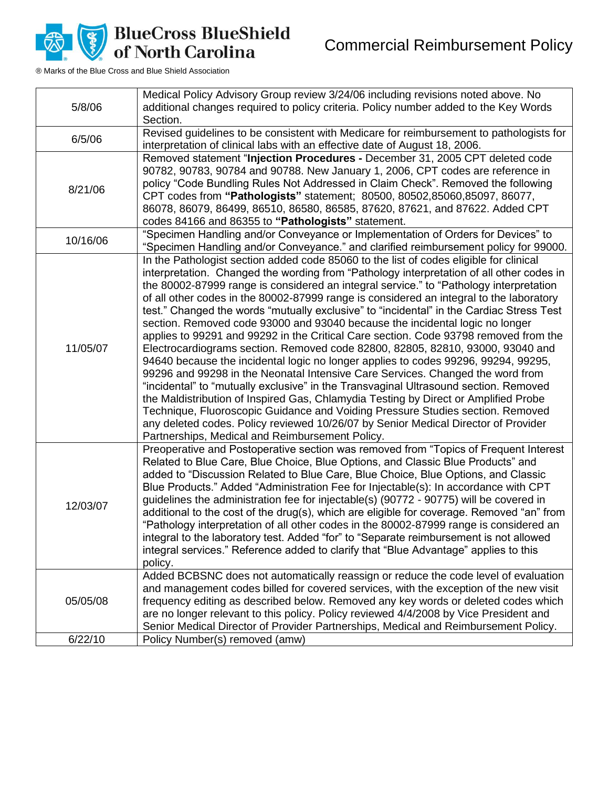Commercial Reimbursement Policy



| 5/8/06   | Medical Policy Advisory Group review 3/24/06 including revisions noted above. No<br>additional changes required to policy criteria. Policy number added to the Key Words<br>Section.                                                                                                                                                                                                                                                                                                                                                                                                                                                                                                                                                                                                                                                                                                                                                                                                                                                                                                                                                                                                                                                                                                                            |
|----------|-----------------------------------------------------------------------------------------------------------------------------------------------------------------------------------------------------------------------------------------------------------------------------------------------------------------------------------------------------------------------------------------------------------------------------------------------------------------------------------------------------------------------------------------------------------------------------------------------------------------------------------------------------------------------------------------------------------------------------------------------------------------------------------------------------------------------------------------------------------------------------------------------------------------------------------------------------------------------------------------------------------------------------------------------------------------------------------------------------------------------------------------------------------------------------------------------------------------------------------------------------------------------------------------------------------------|
| 6/5/06   | Revised guidelines to be consistent with Medicare for reimbursement to pathologists for<br>interpretation of clinical labs with an effective date of August 18, 2006.                                                                                                                                                                                                                                                                                                                                                                                                                                                                                                                                                                                                                                                                                                                                                                                                                                                                                                                                                                                                                                                                                                                                           |
| 8/21/06  | Removed statement "Injection Procedures - December 31, 2005 CPT deleted code<br>90782, 90783, 90784 and 90788. New January 1, 2006, CPT codes are reference in<br>policy "Code Bundling Rules Not Addressed in Claim Check". Removed the following<br>CPT codes from "Pathologists" statement; 80500, 80502,85060,85097, 86077,<br>86078, 86079, 86499, 86510, 86580, 86585, 87620, 87621, and 87622. Added CPT<br>codes 84166 and 86355 to "Pathologists" statement.                                                                                                                                                                                                                                                                                                                                                                                                                                                                                                                                                                                                                                                                                                                                                                                                                                           |
| 10/16/06 | "Specimen Handling and/or Conveyance or Implementation of Orders for Devices" to<br>"Specimen Handling and/or Conveyance." and clarified reimbursement policy for 99000.                                                                                                                                                                                                                                                                                                                                                                                                                                                                                                                                                                                                                                                                                                                                                                                                                                                                                                                                                                                                                                                                                                                                        |
| 11/05/07 | In the Pathologist section added code 85060 to the list of codes eligible for clinical<br>interpretation. Changed the wording from "Pathology interpretation of all other codes in<br>the 80002-87999 range is considered an integral service." to "Pathology interpretation<br>of all other codes in the 80002-87999 range is considered an integral to the laboratory<br>test." Changed the words "mutually exclusive" to "incidental" in the Cardiac Stress Test<br>section. Removed code 93000 and 93040 because the incidental logic no longer<br>applies to 99291 and 99292 in the Critical Care section. Code 93798 removed from the<br>Electrocardiograms section. Removed code 82800, 82805, 82810, 93000, 93040 and<br>94640 because the incidental logic no longer applies to codes 99296, 99294, 99295,<br>99296 and 99298 in the Neonatal Intensive Care Services. Changed the word from<br>"incidental" to "mutually exclusive" in the Transvaginal Ultrasound section. Removed<br>the Maldistribution of Inspired Gas, Chlamydia Testing by Direct or Amplified Probe<br>Technique, Fluoroscopic Guidance and Voiding Pressure Studies section. Removed<br>any deleted codes. Policy reviewed 10/26/07 by Senior Medical Director of Provider<br>Partnerships, Medical and Reimbursement Policy. |
| 12/03/07 | Preoperative and Postoperative section was removed from "Topics of Frequent Interest<br>Related to Blue Care, Blue Choice, Blue Options, and Classic Blue Products" and<br>added to "Discussion Related to Blue Care, Blue Choice, Blue Options, and Classic<br>Blue Products." Added "Administration Fee for Injectable(s): In accordance with CPT<br>guidelines the administration fee for injectable(s) (90772 - 90775) will be covered in<br>additional to the cost of the drug(s), which are eligible for coverage. Removed "an" from<br>"Pathology interpretation of all other codes in the 80002-87999 range is considered an<br>integral to the laboratory test. Added "for" to "Separate reimbursement is not allowed<br>integral services." Reference added to clarify that "Blue Advantage" applies to this<br>policy.                                                                                                                                                                                                                                                                                                                                                                                                                                                                               |
| 05/05/08 | Added BCBSNC does not automatically reassign or reduce the code level of evaluation<br>and management codes billed for covered services, with the exception of the new visit<br>frequency editing as described below. Removed any key words or deleted codes which<br>are no longer relevant to this policy. Policy reviewed 4/4/2008 by Vice President and<br>Senior Medical Director of Provider Partnerships, Medical and Reimbursement Policy.                                                                                                                                                                                                                                                                                                                                                                                                                                                                                                                                                                                                                                                                                                                                                                                                                                                              |
| 6/22/10  | Policy Number(s) removed (amw)                                                                                                                                                                                                                                                                                                                                                                                                                                                                                                                                                                                                                                                                                                                                                                                                                                                                                                                                                                                                                                                                                                                                                                                                                                                                                  |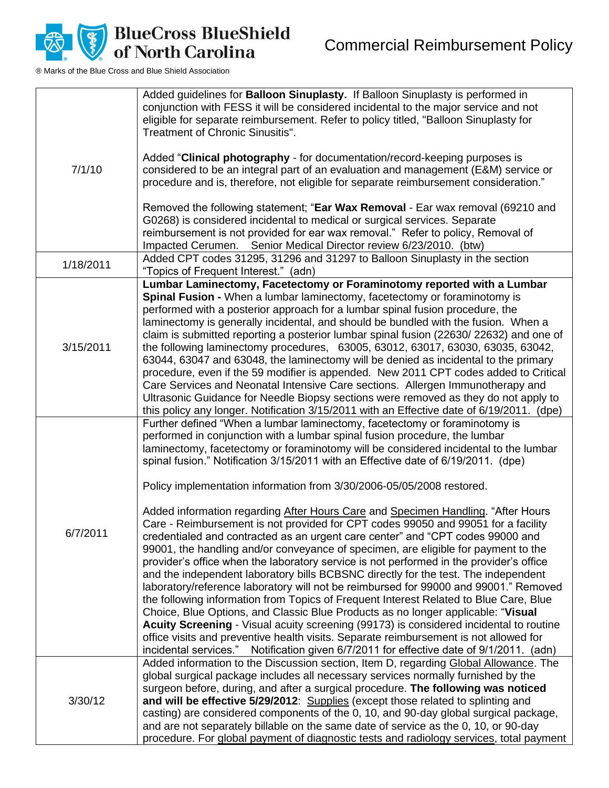

|           | Added guidelines for <b>Balloon Sinuplasty.</b> If Balloon Sinuplasty is performed in<br>conjunction with FESS it will be considered incidental to the major service and not<br>eligible for separate reimbursement. Refer to policy titled, "Balloon Sinuplasty for<br>Treatment of Chronic Sinusitis".                                                                                                                                                                                                                                                                                                                                                                                                                                                                                                                                                                                                                                                                                                                                                                                                                                                                                                                                                                                                                                                                                                                                                                                            |
|-----------|-----------------------------------------------------------------------------------------------------------------------------------------------------------------------------------------------------------------------------------------------------------------------------------------------------------------------------------------------------------------------------------------------------------------------------------------------------------------------------------------------------------------------------------------------------------------------------------------------------------------------------------------------------------------------------------------------------------------------------------------------------------------------------------------------------------------------------------------------------------------------------------------------------------------------------------------------------------------------------------------------------------------------------------------------------------------------------------------------------------------------------------------------------------------------------------------------------------------------------------------------------------------------------------------------------------------------------------------------------------------------------------------------------------------------------------------------------------------------------------------------------|
| 7/1/10    | Added "Clinical photography - for documentation/record-keeping purposes is<br>considered to be an integral part of an evaluation and management (E&M) service or<br>procedure and is, therefore, not eligible for separate reimbursement consideration."                                                                                                                                                                                                                                                                                                                                                                                                                                                                                                                                                                                                                                                                                                                                                                                                                                                                                                                                                                                                                                                                                                                                                                                                                                            |
|           | Removed the following statement; "Ear Wax Removal - Ear wax removal (69210 and<br>G0268) is considered incidental to medical or surgical services. Separate<br>reimbursement is not provided for ear wax removal." Refer to policy, Removal of<br>Impacted Cerumen. Senior Medical Director review 6/23/2010. (btw)                                                                                                                                                                                                                                                                                                                                                                                                                                                                                                                                                                                                                                                                                                                                                                                                                                                                                                                                                                                                                                                                                                                                                                                 |
| 1/18/2011 | Added CPT codes 31295, 31296 and 31297 to Balloon Sinuplasty in the section<br>"Topics of Frequent Interest." (adn)                                                                                                                                                                                                                                                                                                                                                                                                                                                                                                                                                                                                                                                                                                                                                                                                                                                                                                                                                                                                                                                                                                                                                                                                                                                                                                                                                                                 |
| 3/15/2011 | Lumbar Laminectomy, Facetectomy or Foraminotomy reported with a Lumbar<br>Spinal Fusion - When a lumbar laminectomy, facetectomy or foraminotomy is<br>performed with a posterior approach for a lumbar spinal fusion procedure, the<br>laminectomy is generally incidental, and should be bundled with the fusion. When a<br>claim is submitted reporting a posterior lumbar spinal fusion (22630/22632) and one of<br>the following laminectomy procedures, 63005, 63012, 63017, 63030, 63035, 63042,<br>63044, 63047 and 63048, the laminectomy will be denied as incidental to the primary<br>procedure, even if the 59 modifier is appended. New 2011 CPT codes added to Critical<br>Care Services and Neonatal Intensive Care sections. Allergen Immunotherapy and<br>Ultrasonic Guidance for Needle Biopsy sections were removed as they do not apply to<br>this policy any longer. Notification 3/15/2011 with an Effective date of 6/19/2011. (dpe)                                                                                                                                                                                                                                                                                                                                                                                                                                                                                                                                        |
| 6/7/2011  | Further defined "When a lumbar laminectomy, facetectomy or foraminotomy is<br>performed in conjunction with a lumbar spinal fusion procedure, the lumbar<br>laminectomy, facetectomy or foraminotomy will be considered incidental to the lumbar<br>spinal fusion." Notification 3/15/2011 with an Effective date of 6/19/2011. (dpe)<br>Policy implementation information from 3/30/2006-05/05/2008 restored.<br>Added information regarding After Hours Care and Specimen Handling. "After Hours<br>Care - Reimbursement is not provided for CPT codes 99050 and 99051 for a facility<br>credentialed and contracted as an urgent care center" and "CPT codes 99000 and<br>99001, the handling and/or conveyance of specimen, are eligible for payment to the<br>provider's office when the laboratory service is not performed in the provider's office<br>and the independent laboratory bills BCBSNC directly for the test. The independent<br>laboratory/reference laboratory will not be reimbursed for 99000 and 99001." Removed<br>the following information from Topics of Frequent Interest Related to Blue Care, Blue<br>Choice, Blue Options, and Classic Blue Products as no longer applicable: "Visual<br>Acuity Screening - Visual acuity screening (99173) is considered incidental to routine<br>office visits and preventive health visits. Separate reimbursement is not allowed for<br>incidental services." Notification given 6/7/2011 for effective date of 9/1/2011. (adn) |
| 3/30/12   | Added information to the Discussion section, Item D, regarding Global Allowance. The<br>global surgical package includes all necessary services normally furnished by the<br>surgeon before, during, and after a surgical procedure. The following was noticed<br>and will be effective 5/29/2012: Supplies (except those related to splinting and<br>casting) are considered components of the 0, 10, and 90-day global surgical package,<br>and are not separately billable on the same date of service as the 0, 10, or 90-day<br>procedure. For global payment of diagnostic tests and radiology services, total payment                                                                                                                                                                                                                                                                                                                                                                                                                                                                                                                                                                                                                                                                                                                                                                                                                                                                        |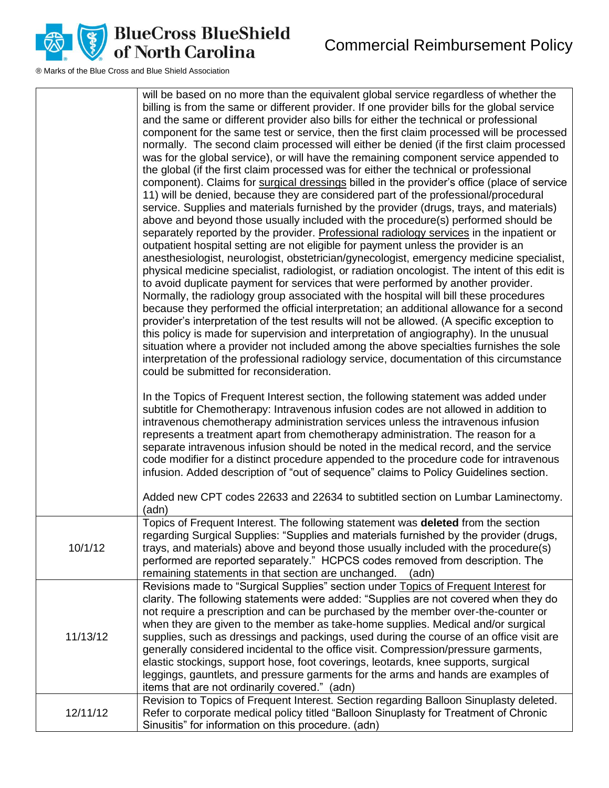

|          | will be based on no more than the equivalent global service regardless of whether the<br>billing is from the same or different provider. If one provider bills for the global service<br>and the same or different provider also bills for either the technical or professional<br>component for the same test or service, then the first claim processed will be processed<br>normally. The second claim processed will either be denied (if the first claim processed<br>was for the global service), or will have the remaining component service appended to<br>the global (if the first claim processed was for either the technical or professional<br>component). Claims for surgical dressings billed in the provider's office (place of service<br>11) will be denied, because they are considered part of the professional/procedural<br>service. Supplies and materials furnished by the provider (drugs, trays, and materials)<br>above and beyond those usually included with the procedure(s) performed should be<br>separately reported by the provider. Professional radiology services in the inpatient or<br>outpatient hospital setting are not eligible for payment unless the provider is an<br>anesthesiologist, neurologist, obstetrician/gynecologist, emergency medicine specialist,<br>physical medicine specialist, radiologist, or radiation oncologist. The intent of this edit is<br>to avoid duplicate payment for services that were performed by another provider.<br>Normally, the radiology group associated with the hospital will bill these procedures<br>because they performed the official interpretation; an additional allowance for a second<br>provider's interpretation of the test results will not be allowed. (A specific exception to<br>this policy is made for supervision and interpretation of angiography). In the unusual<br>situation where a provider not included among the above specialties furnishes the sole<br>interpretation of the professional radiology service, documentation of this circumstance<br>could be submitted for reconsideration.<br>In the Topics of Frequent Interest section, the following statement was added under<br>subtitle for Chemotherapy: Intravenous infusion codes are not allowed in addition to<br>intravenous chemotherapy administration services unless the intravenous infusion<br>represents a treatment apart from chemotherapy administration. The reason for a<br>separate intravenous infusion should be noted in the medical record, and the service |
|----------|------------------------------------------------------------------------------------------------------------------------------------------------------------------------------------------------------------------------------------------------------------------------------------------------------------------------------------------------------------------------------------------------------------------------------------------------------------------------------------------------------------------------------------------------------------------------------------------------------------------------------------------------------------------------------------------------------------------------------------------------------------------------------------------------------------------------------------------------------------------------------------------------------------------------------------------------------------------------------------------------------------------------------------------------------------------------------------------------------------------------------------------------------------------------------------------------------------------------------------------------------------------------------------------------------------------------------------------------------------------------------------------------------------------------------------------------------------------------------------------------------------------------------------------------------------------------------------------------------------------------------------------------------------------------------------------------------------------------------------------------------------------------------------------------------------------------------------------------------------------------------------------------------------------------------------------------------------------------------------------------------------------------------------------------------------------------------------------------------------------------------------------------------------------------------------------------------------------------------------------------------------------------------------------------------------------------------------------------------------------------------------------------------------------------------------------------------------------------------------------------------------------------------------------------------------------|
|          | code modifier for a distinct procedure appended to the procedure code for intravenous<br>infusion. Added description of "out of sequence" claims to Policy Guidelines section.<br>Added new CPT codes 22633 and 22634 to subtitled section on Lumbar Laminectomy.                                                                                                                                                                                                                                                                                                                                                                                                                                                                                                                                                                                                                                                                                                                                                                                                                                                                                                                                                                                                                                                                                                                                                                                                                                                                                                                                                                                                                                                                                                                                                                                                                                                                                                                                                                                                                                                                                                                                                                                                                                                                                                                                                                                                                                                                                                |
|          | (adn)                                                                                                                                                                                                                                                                                                                                                                                                                                                                                                                                                                                                                                                                                                                                                                                                                                                                                                                                                                                                                                                                                                                                                                                                                                                                                                                                                                                                                                                                                                                                                                                                                                                                                                                                                                                                                                                                                                                                                                                                                                                                                                                                                                                                                                                                                                                                                                                                                                                                                                                                                            |
| 10/1/12  | Topics of Frequent Interest. The following statement was <b>deleted</b> from the section<br>regarding Surgical Supplies: "Supplies and materials furnished by the provider (drugs,<br>trays, and materials) above and beyond those usually included with the procedure(s)<br>performed are reported separately." HCPCS codes removed from description. The<br>remaining statements in that section are unchanged.<br>(adn)                                                                                                                                                                                                                                                                                                                                                                                                                                                                                                                                                                                                                                                                                                                                                                                                                                                                                                                                                                                                                                                                                                                                                                                                                                                                                                                                                                                                                                                                                                                                                                                                                                                                                                                                                                                                                                                                                                                                                                                                                                                                                                                                       |
| 11/13/12 | Revisions made to "Surgical Supplies" section under Topics of Frequent Interest for<br>clarity. The following statements were added: "Supplies are not covered when they do<br>not require a prescription and can be purchased by the member over-the-counter or<br>when they are given to the member as take-home supplies. Medical and/or surgical<br>supplies, such as dressings and packings, used during the course of an office visit are<br>generally considered incidental to the office visit. Compression/pressure garments,<br>elastic stockings, support hose, foot coverings, leotards, knee supports, surgical<br>leggings, gauntlets, and pressure garments for the arms and hands are examples of<br>items that are not ordinarily covered." (adn)                                                                                                                                                                                                                                                                                                                                                                                                                                                                                                                                                                                                                                                                                                                                                                                                                                                                                                                                                                                                                                                                                                                                                                                                                                                                                                                                                                                                                                                                                                                                                                                                                                                                                                                                                                                               |
| 12/11/12 | Revision to Topics of Frequent Interest. Section regarding Balloon Sinuplasty deleted.<br>Refer to corporate medical policy titled "Balloon Sinuplasty for Treatment of Chronic<br>Sinusitis" for information on this procedure. (adn)                                                                                                                                                                                                                                                                                                                                                                                                                                                                                                                                                                                                                                                                                                                                                                                                                                                                                                                                                                                                                                                                                                                                                                                                                                                                                                                                                                                                                                                                                                                                                                                                                                                                                                                                                                                                                                                                                                                                                                                                                                                                                                                                                                                                                                                                                                                           |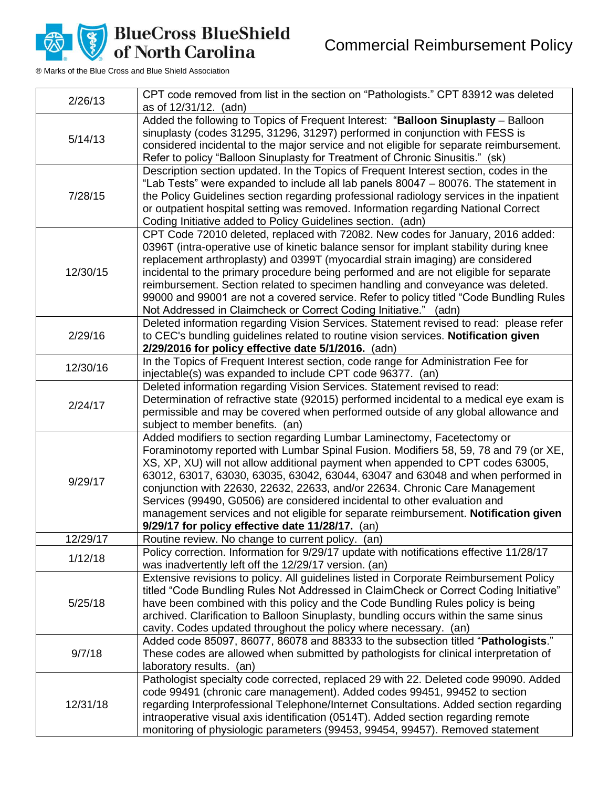Commercial Reimbursement Policy



**BlueCross BlueShield<br>of North Carolina** 

| 2/26/13  | CPT code removed from list in the section on "Pathologists." CPT 83912 was deleted<br>as of 12/31/12. (adn)                                                                                                                                                                                                                                                                                                                                                                                                                                                                                                                                  |
|----------|----------------------------------------------------------------------------------------------------------------------------------------------------------------------------------------------------------------------------------------------------------------------------------------------------------------------------------------------------------------------------------------------------------------------------------------------------------------------------------------------------------------------------------------------------------------------------------------------------------------------------------------------|
| 5/14/13  | Added the following to Topics of Frequent Interest: "Balloon Sinuplasty - Balloon<br>sinuplasty (codes 31295, 31296, 31297) performed in conjunction with FESS is<br>considered incidental to the major service and not eligible for separate reimbursement.<br>Refer to policy "Balloon Sinuplasty for Treatment of Chronic Sinusitis." (sk)                                                                                                                                                                                                                                                                                                |
| 7/28/15  | Description section updated. In the Topics of Frequent Interest section, codes in the<br>"Lab Tests" were expanded to include all lab panels 80047 - 80076. The statement in<br>the Policy Guidelines section regarding professional radiology services in the inpatient<br>or outpatient hospital setting was removed. Information regarding National Correct<br>Coding Initiative added to Policy Guidelines section. (adn)                                                                                                                                                                                                                |
| 12/30/15 | CPT Code 72010 deleted, replaced with 72082. New codes for January, 2016 added:<br>0396T (intra-operative use of kinetic balance sensor for implant stability during knee<br>replacement arthroplasty) and 0399T (myocardial strain imaging) are considered<br>incidental to the primary procedure being performed and are not eligible for separate<br>reimbursement. Section related to specimen handling and conveyance was deleted.<br>99000 and 99001 are not a covered service. Refer to policy titled "Code Bundling Rules<br>Not Addressed in Claimcheck or Correct Coding Initiative." (adn)                                        |
| 2/29/16  | Deleted information regarding Vision Services. Statement revised to read: please refer<br>to CEC's bundling guidelines related to routine vision services. Notification given<br>2/29/2016 for policy effective date 5/1/2016. (adn)                                                                                                                                                                                                                                                                                                                                                                                                         |
| 12/30/16 | In the Topics of Frequent Interest section, code range for Administration Fee for<br>injectable(s) was expanded to include CPT code 96377. (an)                                                                                                                                                                                                                                                                                                                                                                                                                                                                                              |
| 2/24/17  | Deleted information regarding Vision Services. Statement revised to read:<br>Determination of refractive state (92015) performed incidental to a medical eye exam is<br>permissible and may be covered when performed outside of any global allowance and<br>subject to member benefits. (an)                                                                                                                                                                                                                                                                                                                                                |
| 9/29/17  | Added modifiers to section regarding Lumbar Laminectomy, Facetectomy or<br>Foraminotomy reported with Lumbar Spinal Fusion. Modifiers 58, 59, 78 and 79 (or XE,<br>XS, XP, XU) will not allow additional payment when appended to CPT codes 63005,<br>63012, 63017, 63030, 63035, 63042, 63044, 63047 and 63048 and when performed in<br>conjunction with 22630, 22632, 22633, and/or 22634. Chronic Care Management<br>Services (99490, G0506) are considered incidental to other evaluation and<br>management services and not eligible for separate reimbursement. Notification given<br>9/29/17 for policy effective date 11/28/17. (an) |
| 12/29/17 | Routine review. No change to current policy. (an)                                                                                                                                                                                                                                                                                                                                                                                                                                                                                                                                                                                            |
| 1/12/18  | Policy correction. Information for 9/29/17 update with notifications effective 11/28/17<br>was inadvertently left off the 12/29/17 version. (an)                                                                                                                                                                                                                                                                                                                                                                                                                                                                                             |
| 5/25/18  | Extensive revisions to policy. All guidelines listed in Corporate Reimbursement Policy<br>titled "Code Bundling Rules Not Addressed in ClaimCheck or Correct Coding Initiative"<br>have been combined with this policy and the Code Bundling Rules policy is being<br>archived. Clarification to Balloon Sinuplasty, bundling occurs within the same sinus<br>cavity. Codes updated throughout the policy where necessary. (an)                                                                                                                                                                                                              |
| 9/7/18   | Added code 85097, 86077, 86078 and 88333 to the subsection titled "Pathologists."<br>These codes are allowed when submitted by pathologists for clinical interpretation of<br>laboratory results. (an)                                                                                                                                                                                                                                                                                                                                                                                                                                       |
| 12/31/18 | Pathologist specialty code corrected, replaced 29 with 22. Deleted code 99090. Added<br>code 99491 (chronic care management). Added codes 99451, 99452 to section<br>regarding Interprofessional Telephone/Internet Consultations. Added section regarding<br>intraoperative visual axis identification (0514T). Added section regarding remote<br>monitoring of physiologic parameters (99453, 99454, 99457). Removed statement                                                                                                                                                                                                             |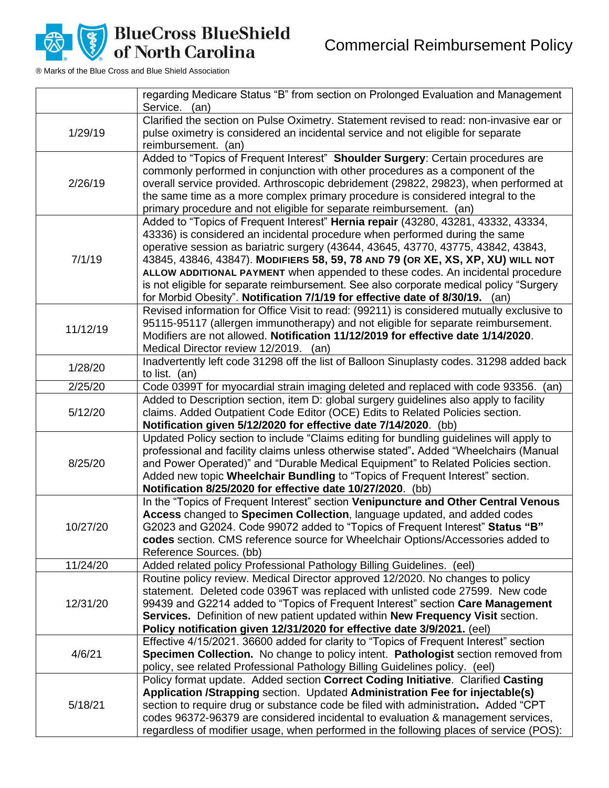

|          | regarding Medicare Status "B" from section on Prolonged Evaluation and Management<br>Service. (an)                                                                                                                                                                                                                                                                                                                                                                                                                                                                                                  |
|----------|-----------------------------------------------------------------------------------------------------------------------------------------------------------------------------------------------------------------------------------------------------------------------------------------------------------------------------------------------------------------------------------------------------------------------------------------------------------------------------------------------------------------------------------------------------------------------------------------------------|
| 1/29/19  | Clarified the section on Pulse Oximetry. Statement revised to read: non-invasive ear or<br>pulse oximetry is considered an incidental service and not eligible for separate<br>reimbursement. (an)                                                                                                                                                                                                                                                                                                                                                                                                  |
| 2/26/19  | Added to "Topics of Frequent Interest" Shoulder Surgery: Certain procedures are<br>commonly performed in conjunction with other procedures as a component of the<br>overall service provided. Arthroscopic debridement (29822, 29823), when performed at<br>the same time as a more complex primary procedure is considered integral to the<br>primary procedure and not eligible for separate reimbursement. (an)                                                                                                                                                                                  |
| 7/1/19   | Added to "Topics of Frequent Interest" Hernia repair (43280, 43281, 43332, 43334,<br>43336) is considered an incidental procedure when performed during the same<br>operative session as bariatric surgery (43644, 43645, 43770, 43775, 43842, 43843,<br>43845, 43846, 43847). MODIFIERS 58, 59, 78 AND 79 (OR XE, XS, XP, XU) WILL NOT<br>ALLOW ADDITIONAL PAYMENT when appended to these codes. An incidental procedure<br>is not eligible for separate reimbursement. See also corporate medical policy "Surgery<br>for Morbid Obesity". Notification 7/1/19 for effective date of 8/30/19. (an) |
| 11/12/19 | Revised information for Office Visit to read: (99211) is considered mutually exclusive to<br>95115-95117 (allergen immunotherapy) and not eligible for separate reimbursement.<br>Modifiers are not allowed. Notification 11/12/2019 for effective date 1/14/2020.<br>Medical Director review 12/2019. (an)                                                                                                                                                                                                                                                                                         |
| 1/28/20  | Inadvertently left code 31298 off the list of Balloon Sinuplasty codes. 31298 added back<br>to list. (an)                                                                                                                                                                                                                                                                                                                                                                                                                                                                                           |
| 2/25/20  | Code 0399T for myocardial strain imaging deleted and replaced with code 93356. (an)                                                                                                                                                                                                                                                                                                                                                                                                                                                                                                                 |
| 5/12/20  | Added to Description section, item D: global surgery guidelines also apply to facility<br>claims. Added Outpatient Code Editor (OCE) Edits to Related Policies section.<br>Notification given 5/12/2020 for effective date 7/14/2020. (bb)                                                                                                                                                                                                                                                                                                                                                          |
| 8/25/20  | Updated Policy section to include "Claims editing for bundling guidelines will apply to<br>professional and facility claims unless otherwise stated". Added "Wheelchairs (Manual<br>and Power Operated)" and "Durable Medical Equipment" to Related Policies section.<br>Added new topic Wheelchair Bundling to "Topics of Frequent Interest" section.<br>Notification 8/25/2020 for effective date 10/27/2020. (bb)                                                                                                                                                                                |
| 10/27/20 | In the "Topics of Frequent Interest" section Venipuncture and Other Central Venous<br>Access changed to Specimen Collection, language updated, and added codes<br>G2023 and G2024. Code 99072 added to "Topics of Frequent Interest" Status "B"<br>codes section. CMS reference source for Wheelchair Options/Accessories added to<br>Reference Sources. (bb)                                                                                                                                                                                                                                       |
| 11/24/20 | Added related policy Professional Pathology Billing Guidelines. (eel)                                                                                                                                                                                                                                                                                                                                                                                                                                                                                                                               |
| 12/31/20 | Routine policy review. Medical Director approved 12/2020. No changes to policy<br>statement. Deleted code 0396T was replaced with unlisted code 27599. New code<br>99439 and G2214 added to "Topics of Frequent Interest" section Care Management<br>Services. Definition of new patient updated within New Frequency Visit section.<br>Policy notification given 12/31/2020 for effective date 3/9/2021. (eel)                                                                                                                                                                                     |
| 4/6/21   | Effective 4/15/2021. 36600 added for clarity to "Topics of Frequent Interest" section<br>Specimen Collection. No change to policy intent. Pathologist section removed from<br>policy, see related Professional Pathology Billing Guidelines policy. (eel)                                                                                                                                                                                                                                                                                                                                           |
| 5/18/21  | Policy format update. Added section Correct Coding Initiative. Clarified Casting<br>Application /Strapping section. Updated Administration Fee for injectable(s)<br>section to require drug or substance code be filed with administration. Added "CPT<br>codes 96372-96379 are considered incidental to evaluation & management services,<br>regardless of modifier usage, when performed in the following places of service (POS):                                                                                                                                                                |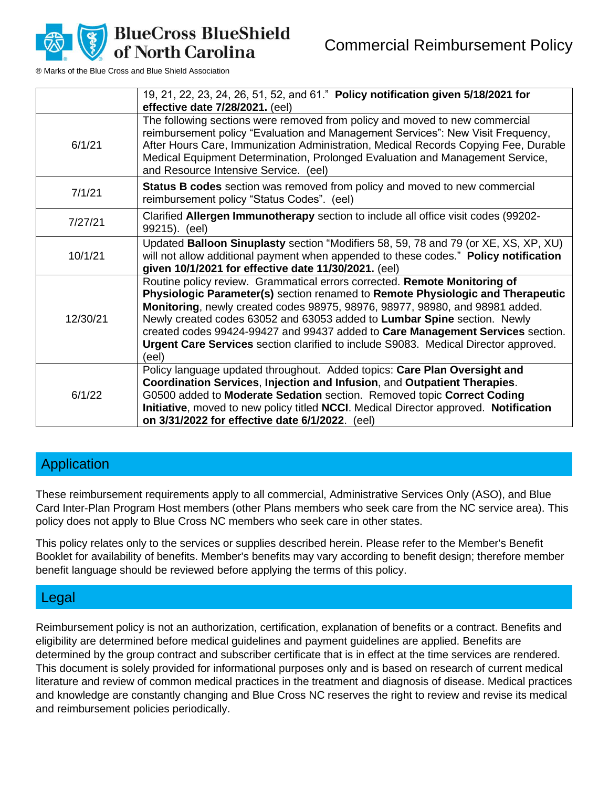

® Marks of the Blue Cross and Blue Shield Association

|          | 19, 21, 22, 23, 24, 26, 51, 52, and 61." Policy notification given 5/18/2021 for<br>effective date 7/28/2021. (eel)                                                                                                                                                                                                                                                                                                                                                                                       |
|----------|-----------------------------------------------------------------------------------------------------------------------------------------------------------------------------------------------------------------------------------------------------------------------------------------------------------------------------------------------------------------------------------------------------------------------------------------------------------------------------------------------------------|
| 6/1/21   | The following sections were removed from policy and moved to new commercial<br>reimbursement policy "Evaluation and Management Services": New Visit Frequency,<br>After Hours Care, Immunization Administration, Medical Records Copying Fee, Durable<br>Medical Equipment Determination, Prolonged Evaluation and Management Service,<br>and Resource Intensive Service. (eel)                                                                                                                           |
| 7/1/21   | <b>Status B codes</b> section was removed from policy and moved to new commercial<br>reimbursement policy "Status Codes". (eel)                                                                                                                                                                                                                                                                                                                                                                           |
| 7/27/21  | Clarified Allergen Immunotherapy section to include all office visit codes (99202-<br>99215). (eel)                                                                                                                                                                                                                                                                                                                                                                                                       |
| 10/1/21  | Updated Balloon Sinuplasty section "Modifiers 58, 59, 78 and 79 (or XE, XS, XP, XU)<br>will not allow additional payment when appended to these codes." Policy notification<br>given 10/1/2021 for effective date 11/30/2021. (eel)                                                                                                                                                                                                                                                                       |
| 12/30/21 | Routine policy review. Grammatical errors corrected. Remote Monitoring of<br>Physiologic Parameter(s) section renamed to Remote Physiologic and Therapeutic<br>Monitoring, newly created codes 98975, 98976, 98977, 98980, and 98981 added.<br>Newly created codes 63052 and 63053 added to Lumbar Spine section. Newly<br>created codes 99424-99427 and 99437 added to Care Management Services section.<br>Urgent Care Services section clarified to include S9083. Medical Director approved.<br>(eel) |
| 6/1/22   | Policy language updated throughout. Added topics: Care Plan Oversight and<br>Coordination Services, Injection and Infusion, and Outpatient Therapies.<br>G0500 added to Moderate Sedation section. Removed topic Correct Coding<br>Initiative, moved to new policy titled NCCI. Medical Director approved. Notification<br>on 3/31/2022 for effective date 6/1/2022. (eel)                                                                                                                                |

# **Application**

These reimbursement requirements apply to all commercial, Administrative Services Only (ASO), and Blue Card Inter-Plan Program Host members (other Plans members who seek care from the NC service area). This policy does not apply to Blue Cross NC members who seek care in other states.

This policy relates only to the services or supplies described herein. Please refer to the Member's Benefit Booklet for availability of benefits. Member's benefits may vary according to benefit design; therefore member benefit language should be reviewed before applying the terms of this policy.

# Legal

Reimbursement policy is not an authorization, certification, explanation of benefits or a contract. Benefits and eligibility are determined before medical guidelines and payment guidelines are applied. Benefits are determined by the group contract and subscriber certificate that is in effect at the time services are rendered. This document is solely provided for informational purposes only and is based on research of current medical literature and review of common medical practices in the treatment and diagnosis of disease. Medical practices and knowledge are constantly changing and Blue Cross NC reserves the right to review and revise its medical and reimbursement policies periodically.